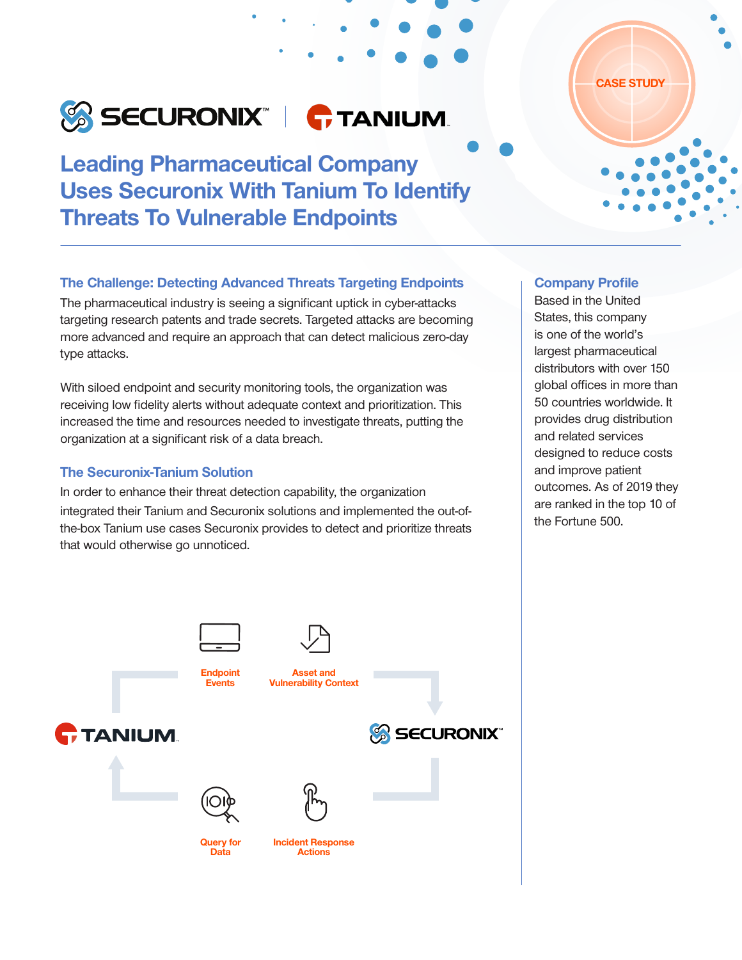# SECURONIX" | **G**TANIUM

Leading Pharmaceutical Company Uses Securonix With Tanium To Identify Threats To Vulnerable Endpoints

# CASE STUDY

### The Challenge: Detecting Advanced Threats Targeting Endpoints

The pharmaceutical industry is seeing a significant uptick in cyber-attacks targeting research patents and trade secrets. Targeted attacks are becoming more advanced and require an approach that can detect malicious zero-day type attacks.

With siloed endpoint and security monitoring tools, the organization was receiving low fidelity alerts without adequate context and prioritization. This increased the time and resources needed to investigate threats, putting the organization at a significant risk of a data breach.

### The Securonix-Tanium Solution

In order to enhance their threat detection capability, the organization integrated their Tanium and Securonix solutions and implemented the out-ofthe-box Tanium use cases Securonix provides to detect and prioritize threats that would otherwise go unnoticed.

## Company Profile

Based in the United States, this company is one of the world's largest pharmaceutical distributors with over 150 global offices in more than 50 countries worldwide. It provides drug distribution and related services designed to reduce costs and improve patient outcomes. As of 2019 they are ranked in the top 10 of the Fortune 500.